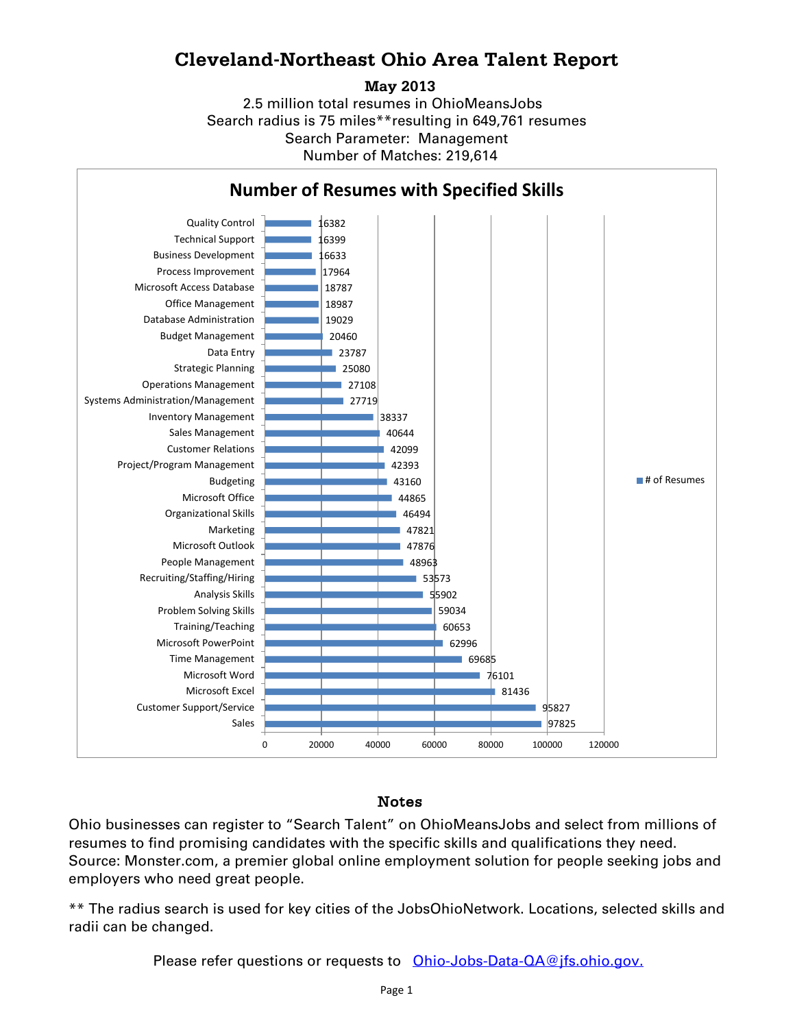## **Cleveland-Northeast Ohio Area Talent Report**

**May 2013**

2.5 million total resumes in OhioMeansJobs Search radius is 75 miles\*\*resulting in 649,761 resumes Number of Matches: 219,614 Search Parameter: Management



## Notes

Ohio businesses can register to "Search Talent" on OhioMeansJobs and select from millions of resumes to find promising candidates with the specific skills and qualifications they need. Source: Monster.com, a premier global online employment solution for people seeking jobs and employers who need great people.

\*\* The radius search is used for key cities of the JobsOhioNetwork. Locations, selected skills and radii can be changed.

Please refer questions or requests to [Ohio-Jobs-Data-QA@jfs.ohio.gov.](mailto:Ohio-Jobs-Data-QA@jfs.ohio.gov.)